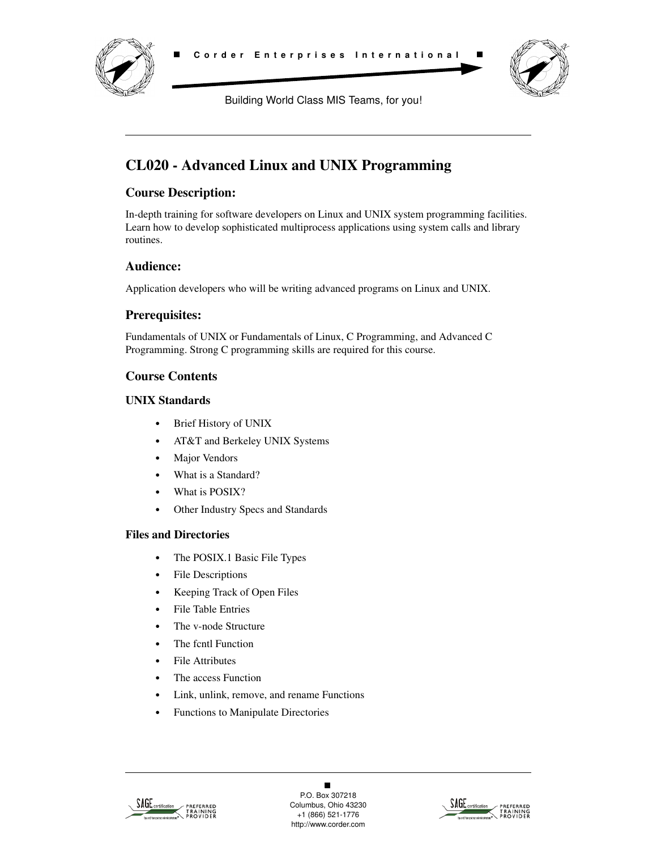



Building World Class MIS Teams, for you!

# **CL020 - Advanced Linux and UNIX Programming**

## **Course Description:**

In-depth training for software developers on Linux and UNIX system programming facilities. Learn how to develop sophisticated multiprocess applications using system calls and library routines.

## **Audience:**

Application developers who will be writing advanced programs on Linux and UNIX.

## **Prerequisites:**

Fundamentals of UNIX or Fundamentals of Linux, C Programming, and Advanced C Programming. Strong C programming skills are required for this course.

## **Course Contents**

#### **UNIX Standards**

- **•** Brief History of UNIX
- **•** AT&T and Berkeley UNIX Systems
- **•** Major Vendors
- **•** What is a Standard?
- **•** What is POSIX?
- **•** Other Industry Specs and Standards

### **Files and Directories**

- **•** The POSIX.1 Basic File Types
- **•** File Descriptions
- **•** Keeping Track of Open Files
- **•** File Table Entries
- **•** The v-node Structure
- **•** The fcntl Function
- **•** File Attributes
- **•** The access Function
- **•** Link, unlink, remove, and rename Functions
- **•** Functions to Manipulate Directories



 $\blacksquare$ P.O. Box 307218 Columbus, Ohio 43230 +1 (866) 521-1776 http://www.corder.com

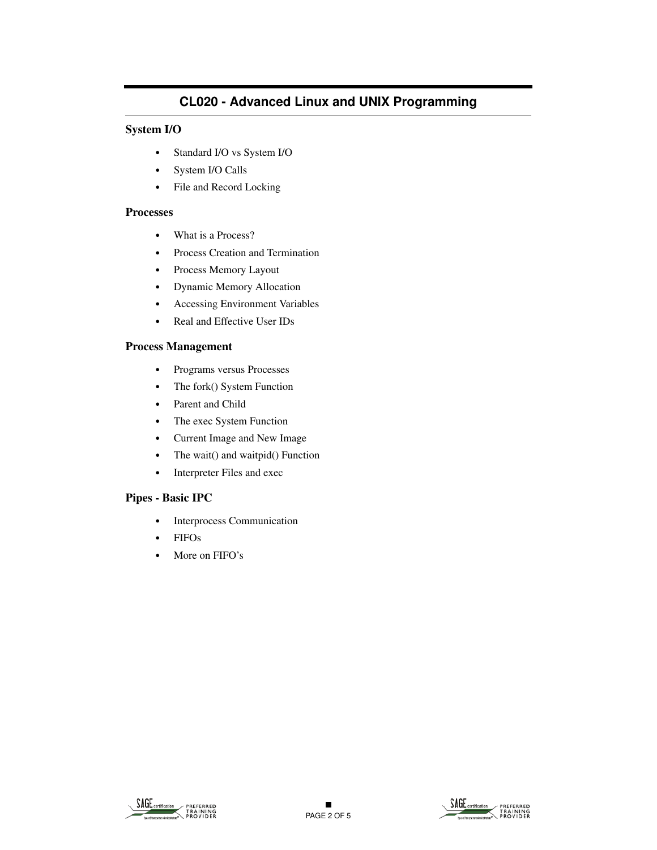#### **System I/O**

- **•** Standard I/O vs System I/O
- **•** System I/O Calls
- **•** File and Record Locking

#### **Processes**

- **•** What is a Process?
- **•** Process Creation and Termination
- **•** Process Memory Layout
- **•** Dynamic Memory Allocation
- **•** Accessing Environment Variables
- **•** Real and Effective User IDs

#### **Process Management**

- **•** Programs versus Processes
- **•** The fork() System Function
- **•** Parent and Child
- **•** The exec System Function
- **•** Current Image and New Image
- The wait() and waitpid() Function
- **•** Interpreter Files and exec

#### **Pipes - Basic IPC**

- **•** Interprocess Communication
- **•** FIFOs
- **•** More on FIFO's

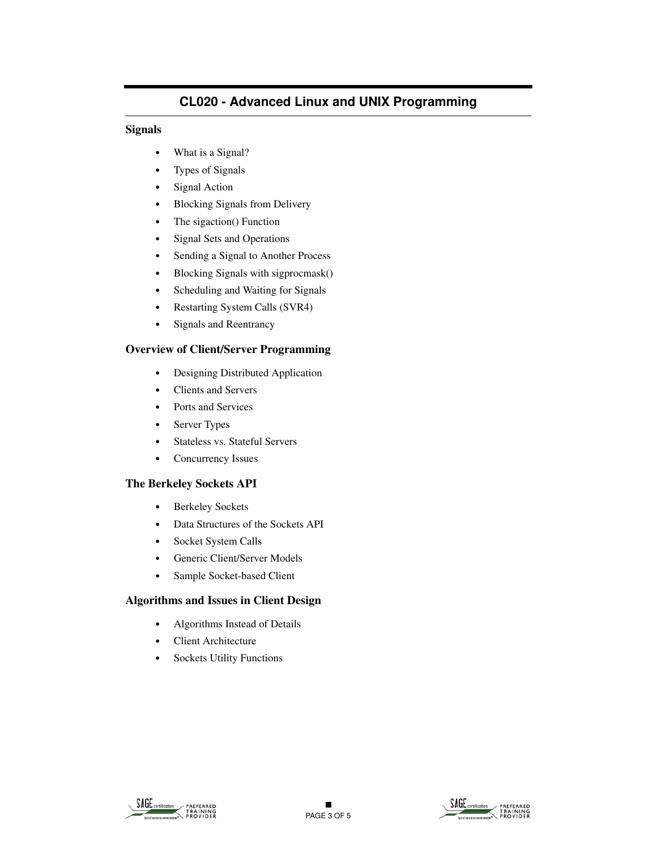#### **Signals**

- **•** What is a Signal?
- **•** Types of Signals
- **•** Signal Action
- **•** Blocking Signals from Delivery
- The sigaction() Function
- **•** Signal Sets and Operations
- **•** Sending a Signal to Another Process
- **•** Blocking Signals with sigprocmask()
- **•** Scheduling and Waiting for Signals
- **•** Restarting System Calls (SVR4)
- **•** Signals and Reentrancy

#### **Overview of Client/Server Programming**

- **•** Designing Distributed Application
- **•** Clients and Servers
- **•** Ports and Services
- **•** Server Types
- **•** Stateless vs. Stateful Servers
- **•** Concurrency Issues

### **The Berkeley Sockets API**

- **•** Berkeley Sockets
- **•** Data Structures of the Sockets API
- **•** Socket System Calls
- **•** Generic Client/Server Models
- **•** Sample Socket-based Client

#### **Algorithms and Issues in Client Design**

- **•** Algorithms Instead of Details
- **•** Client Architecture
- **•** Sockets Utility Functions

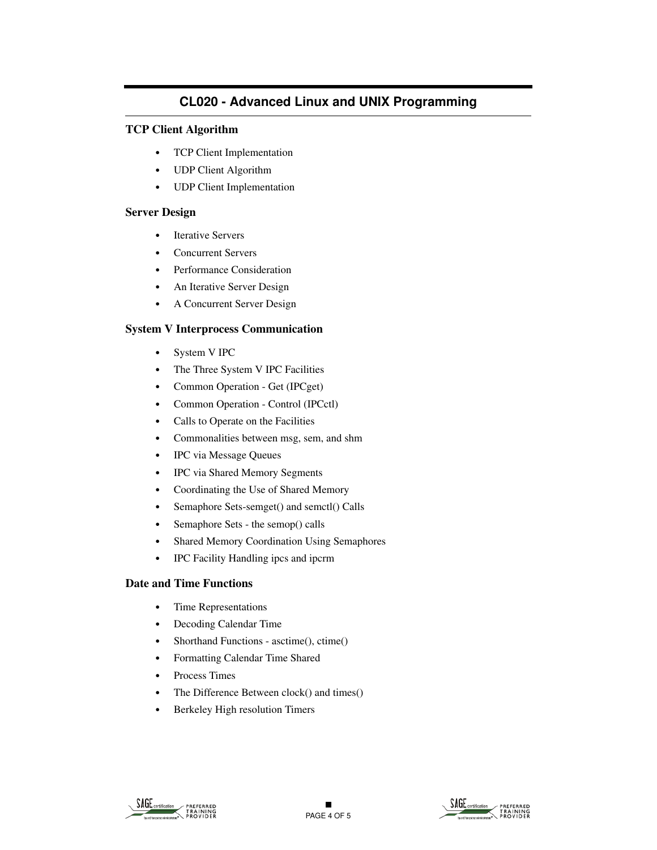#### **TCP Client Algorithm**

- **•** TCP Client Implementation
- **•** UDP Client Algorithm
- **•** UDP Client Implementation

#### **Server Design**

- **•** Iterative Servers
- **•** Concurrent Servers
- **•** Performance Consideration
- **•** An Iterative Server Design
- **•** A Concurrent Server Design

#### **System V Interprocess Communication**

- **•** System V IPC
- **•** The Three System V IPC Facilities
- **•** Common Operation Get (IPCget)
- **•** Common Operation Control (IPCctl)
- **•** Calls to Operate on the Facilities
- **•** Commonalities between msg, sem, and shm
- **•** IPC via Message Queues
- **•** IPC via Shared Memory Segments
- **•** Coordinating the Use of Shared Memory
- **•** Semaphore Sets-semget() and semctl() Calls
- **•** Semaphore Sets the semop() calls
- **•** Shared Memory Coordination Using Semaphores
- **•** IPC Facility Handling ipcs and ipcrm

#### **Date and Time Functions**

- **•** Time Representations
- **•** Decoding Calendar Time
- Shorthand Functions asctime(), ctime()
- **•** Formatting Calendar Time Shared
- **•** Process Times
- **•** The Difference Between clock() and times()
- **•** Berkeley High resolution Timers